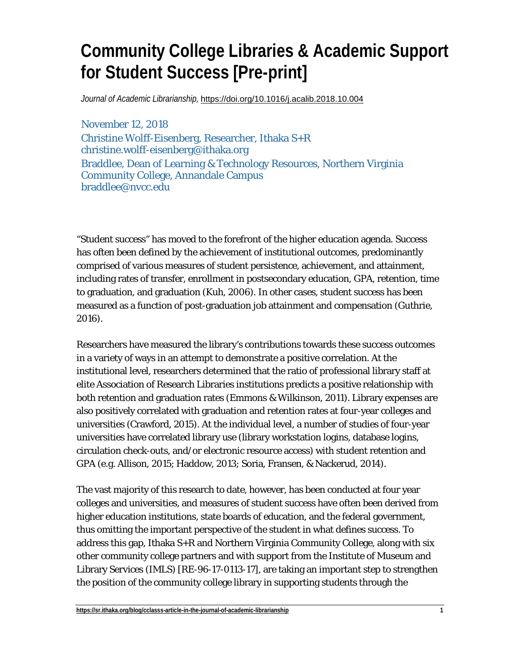# **Community College Libraries & Academic Support for Student Success [Pre-print]**

*Journal of Academic Librarianship,* <https://doi.org/10.1016/j.acalib.2018.10.004>

November 12, 2018 Christine Wolff-Eisenberg, Researcher, Ithaka S+R christine.wolff-eisenberg@ithaka.org Braddlee, Dean of Learning & Technology Resources, Northern Virginia Community College, Annandale Campus braddlee@nvcc.edu

"Student success" has moved to the forefront of the higher education agenda. Success has often been defined by the achievement of institutional outcomes, predominantly comprised of various measures of student persistence, achievement, and attainment, including rates of transfer, enrollment in postsecondary education, GPA, retention, time to graduation, and graduation (Kuh, 2006). In other cases, student success has been measured as a function of post-graduation job attainment and compensation (Guthrie, 2016).

Researchers have measured the library's contributions towards these success outcomes in a variety of ways in an attempt to demonstrate a positive correlation. At the institutional level, researchers determined that the ratio of professional library staff at elite Association of Research Libraries institutions predicts a positive relationship with both retention and graduation rates (Emmons & Wilkinson, 2011). Library expenses are also positively correlated with graduation and retention rates at four-year colleges and universities (Crawford, 2015). At the individual level, a number of studies of four-year universities have correlated library use (library workstation logins, database logins, circulation check-outs, and/or electronic resource access) with student retention and GPA (e.g. Allison, 2015; Haddow, 2013; Soria, Fransen, & Nackerud, 2014).

The vast majority of this research to date, however, has been conducted at four year colleges and universities, and measures of student success have often been derived from higher education institutions, state boards of education, and the federal government, thus omitting the important perspective of the student in what defines success. To address this gap, Ithaka S+R and Northern Virginia Community College, along with six other community college partners and with support from the Institute of Museum and Library Services (IMLS) [RE-96-17-0113-17], are taking an important step to strengthen the position of the community college library in supporting students through the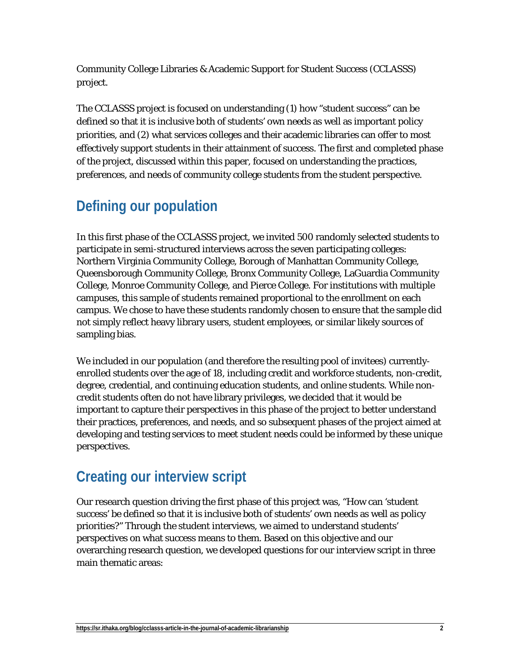Community College Libraries & Academic Support for Student Success (CCLASSS) project.

The CCLASSS project is focused on understanding (1) how "student success" can be defined so that it is inclusive both of students' own needs as well as important policy priorities, and (2) what services colleges and their academic libraries can offer to most effectively support students in their attainment of success. The first and completed phase of the project, discussed within this paper, focused on understanding the practices, preferences, and needs of community college students from the student perspective.

## **Defining our population**

In this first phase of the CCLASSS project, we invited 500 randomly selected students to participate in semi-structured interviews across the seven participating colleges: Northern Virginia Community College, Borough of Manhattan Community College, Queensborough Community College, Bronx Community College, LaGuardia Community College, Monroe Community College, and Pierce College. For institutions with multiple campuses, this sample of students remained proportional to the enrollment on each campus. We chose to have these students randomly chosen to ensure that the sample did not simply reflect heavy library users, student employees, or similar likely sources of sampling bias.

We included in our population (and therefore the resulting pool of invitees) currentlyenrolled students over the age of 18, including credit and workforce students, non-credit, degree, credential, and continuing education students, and online students. While noncredit students often do not have library privileges, we decided that it would be important to capture their perspectives in this phase of the project to better understand their practices, preferences, and needs, and so subsequent phases of the project aimed at developing and testing services to meet student needs could be informed by these unique perspectives.

#### **Creating our interview script**

Our research question driving the first phase of this project was, "How can 'student success' be defined so that it is inclusive both of students' own needs as well as policy priorities?" Through the student interviews, we aimed to understand students' perspectives on what success means to them. Based on this objective and our overarching research question, we developed questions for our interview script in three main thematic areas: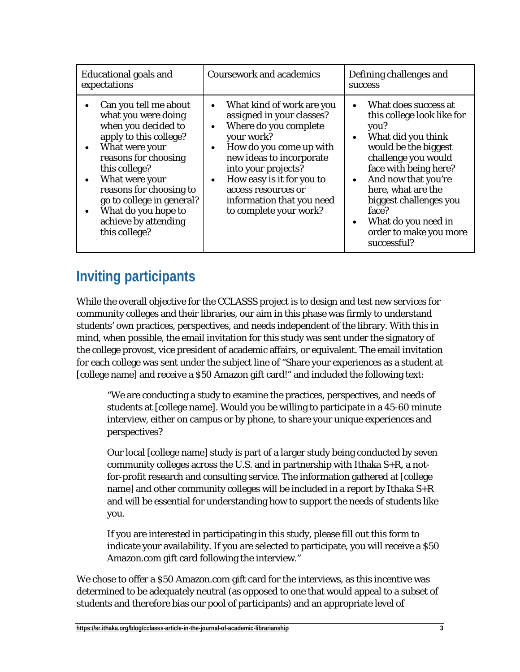| <b>Educational goals and</b><br>expectations                                                                                                                                                                                                                                                       | <b>Coursework and academics</b>                                                                                                                                                                                                                                                                                                            | Defining challenges and<br><b>SUCCESS</b>                                                                                                                                                                                                                                                                             |
|----------------------------------------------------------------------------------------------------------------------------------------------------------------------------------------------------------------------------------------------------------------------------------------------------|--------------------------------------------------------------------------------------------------------------------------------------------------------------------------------------------------------------------------------------------------------------------------------------------------------------------------------------------|-----------------------------------------------------------------------------------------------------------------------------------------------------------------------------------------------------------------------------------------------------------------------------------------------------------------------|
| Can you tell me about<br>what you were doing<br>when you decided to<br>apply to this college?<br>What were your<br>reasons for choosing<br>this college?<br>What were your<br>reasons for choosing to<br>go to college in general?<br>What do you hope to<br>achieve by attending<br>this college? | What kind of work are you<br>$\bullet$<br>assigned in your classes?<br>Where do you complete<br>$\bullet$<br>your work?<br>How do you come up with<br>$\bullet$<br>new ideas to incorporate<br>into your projects?<br>How easy is it for you to<br>$\bullet$<br>access resources or<br>information that you need<br>to complete your work? | What does success at<br>this college look like for<br>you?<br>What did you think<br>$\bullet$<br>would be the biggest<br>challenge you would<br>face with being here?<br>And now that you're<br>here, what are the<br>biggest challenges you<br>face?<br>What do you need in<br>order to make you more<br>successful? |

## **Inviting participants**

While the overall objective for the CCLASSS project is to design and test new services for community colleges and their libraries, our aim in this phase was firmly to understand students' own practices, perspectives, and needs independent of the library. With this in mind, when possible, the email invitation for this study was sent under the signatory of the college provost, vice president of academic affairs, or equivalent. The email invitation for each college was sent under the subject line of "Share your experiences as a student at [college name] and receive a \$50 Amazon gift card!" and included the following text:

"We are conducting a study to examine the practices, perspectives, and needs of students at [college name]. Would you be willing to participate in a 45-60 minute interview, either on campus or by phone, to share your unique experiences and perspectives?

Our local [college name] study is part of a larger study being conducted by seven community colleges across the U.S. and in partnership with Ithaka S+R, a notfor-profit research and consulting service. The information gathered at [college name] and other community colleges will be included in a report by Ithaka S+R and will be essential for understanding how to support the needs of students like you.

If you are interested in participating in this study, please fill out this form to indicate your availability. If you are selected to participate, you will receive a \$50 Amazon.com gift card following the interview."

We chose to offer a \$50 Amazon.com gift card for the interviews, as this incentive was determined to be adequately neutral (as opposed to one that would appeal to a subset of students and therefore bias our pool of participants) and an appropriate level of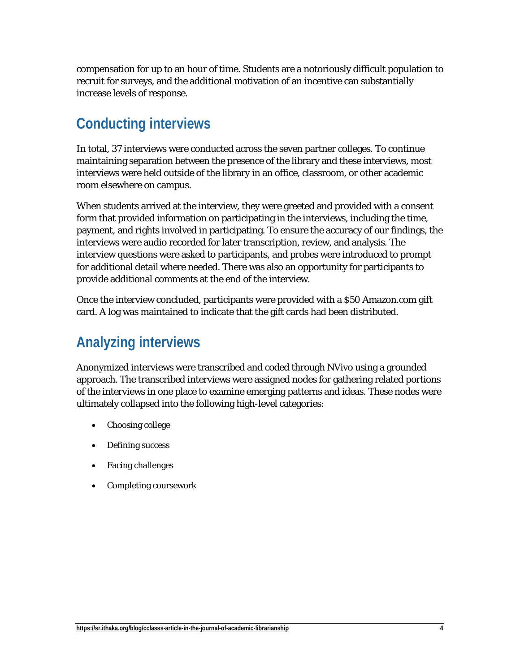compensation for up to an hour of time. Students are a notoriously difficult population to recruit for surveys, and the additional motivation of an incentive can substantially increase levels of response.

#### **Conducting interviews**

In total, 37 interviews were conducted across the seven partner colleges. To continue maintaining separation between the presence of the library and these interviews, most interviews were held outside of the library in an office, classroom, or other academic room elsewhere on campus.

When students arrived at the interview, they were greeted and provided with a consent form that provided information on participating in the interviews, including the time, payment, and rights involved in participating. To ensure the accuracy of our findings, the interviews were audio recorded for later transcription, review, and analysis. The interview questions were asked to participants, and probes were introduced to prompt for additional detail where needed. There was also an opportunity for participants to provide additional comments at the end of the interview.

Once the interview concluded, participants were provided with a \$50 Amazon.com gift card. A log was maintained to indicate that the gift cards had been distributed.

### **Analyzing interviews**

Anonymized interviews were transcribed and coded through NVivo using a grounded approach. The transcribed interviews were assigned nodes for gathering related portions of the interviews in one place to examine emerging patterns and ideas. These nodes were ultimately collapsed into the following high-level categories:

- Choosing college
- Defining success
- Facing challenges
- Completing coursework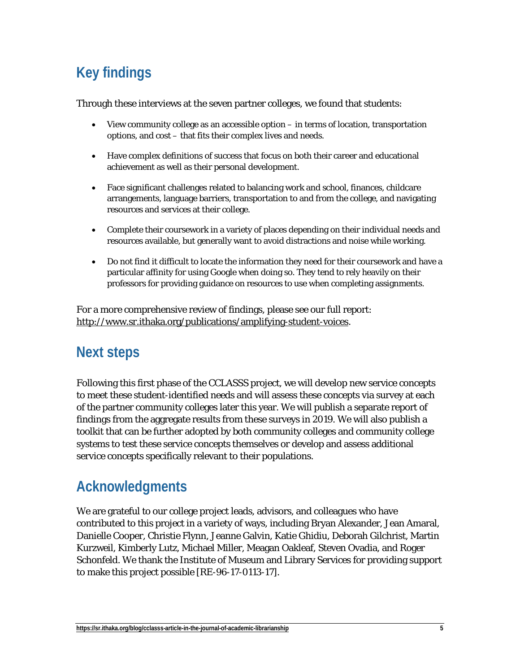# **Key findings**

Through these interviews at the seven partner colleges, we found that students:

- View community college as an accessible option in terms of location, transportation options, and cost – that fits their complex lives and needs.
- Have complex definitions of success that focus on both their career and educational achievement as well as their personal development.
- Face significant challenges related to balancing work and school, finances, childcare arrangements, language barriers, transportation to and from the college, and navigating resources and services at their college.
- Complete their coursework in a variety of places depending on their individual needs and resources available, but generally want to avoid distractions and noise while working.
- Do not find it difficult to locate the information they need for their coursework and have a particular affinity for using Google when doing so. They tend to rely heavily on their professors for providing guidance on resources to use when completing assignments.

For a more comprehensive review of findings, please see our full report: [http://www.sr.ithaka.org/publications/amplifying-student-voices.](http://www.sr.ithaka.org/publications/amplifying-student-voices)

#### **Next steps**

Following this first phase of the CCLASSS project, we will develop new service concepts to meet these student-identified needs and will assess these concepts via survey at each of the partner community colleges later this year. We will publish a separate report of findings from the aggregate results from these surveys in 2019. We will also publish a toolkit that can be further adopted by both community colleges and community college systems to test these service concepts themselves or develop and assess additional service concepts specifically relevant to their populations.

### **Acknowledgments**

We are grateful to our college project leads, advisors, and colleagues who have contributed to this project in a variety of ways, including Bryan Alexander, Jean Amaral, Danielle Cooper, Christie Flynn, Jeanne Galvin, Katie Ghidiu, Deborah Gilchrist, Martin Kurzweil, Kimberly Lutz, Michael Miller, Meagan Oakleaf, Steven Ovadia, and Roger Schonfeld. We thank the Institute of Museum and Library Services for providing support to make this project possible [RE-96-17-0113-17].